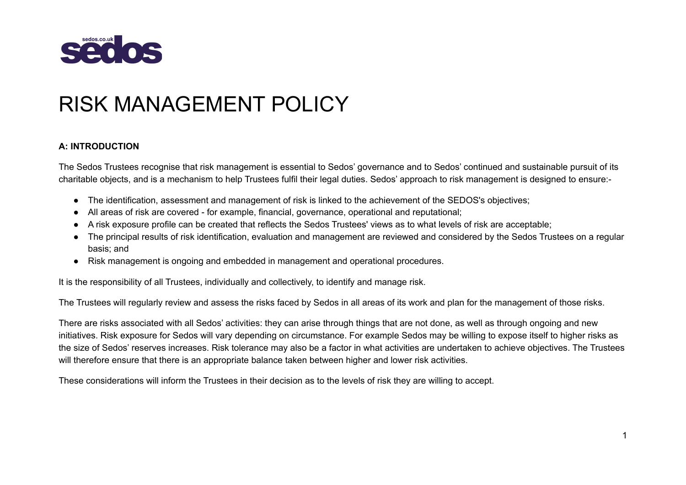

# RISK MANAGEMENT POLICY

#### **A: INTRODUCTION**

The Sedos Trustees recognise that risk management is essential to Sedos' governance and to Sedos' continued and sustainable pursuit of its charitable objects, and is a mechanism to help Trustees fulfil their legal duties. Sedos' approach to risk management is designed to ensure:-

- The identification, assessment and management of risk is linked to the achievement of the SEDOS's objectives;
- All areas of risk are covered for example, financial, governance, operational and reputational;
- A risk exposure profile can be created that reflects the Sedos Trustees' views as to what levels of risk are acceptable;
- The principal results of risk identification, evaluation and management are reviewed and considered by the Sedos Trustees on a regular basis; and
- Risk management is ongoing and embedded in management and operational procedures.

It is the responsibility of all Trustees, individually and collectively, to identify and manage risk.

The Trustees will regularly review and assess the risks faced by Sedos in all areas of its work and plan for the management of those risks.

There are risks associated with all Sedos' activities: they can arise through things that are not done, as well as through ongoing and new initiatives. Risk exposure for Sedos will vary depending on circumstance. For example Sedos may be willing to expose itself to higher risks as the size of Sedos' reserves increases. Risk tolerance may also be a factor in what activities are undertaken to achieve objectives. The Trustees will therefore ensure that there is an appropriate balance taken between higher and lower risk activities.

These considerations will inform the Trustees in their decision as to the levels of risk they are willing to accept.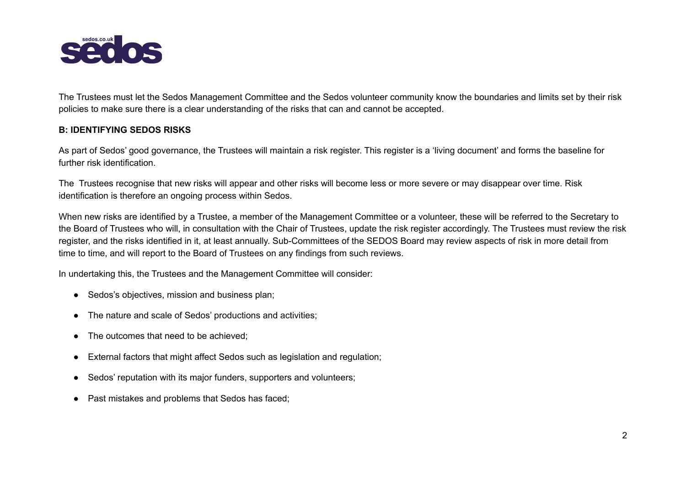

The Trustees must let the Sedos Management Committee and the Sedos volunteer community know the boundaries and limits set by their risk policies to make sure there is a clear understanding of the risks that can and cannot be accepted.

#### **B: IDENTIFYING SEDOS RISKS**

As part of Sedos' good governance, the Trustees will maintain a risk register. This register is a 'living document' and forms the baseline for further risk identification.

The Trustees recognise that new risks will appear and other risks will become less or more severe or may disappear over time. Risk identification is therefore an ongoing process within Sedos.

When new risks are identified by a Trustee, a member of the Management Committee or a volunteer, these will be referred to the Secretary to the Board of Trustees who will, in consultation with the Chair of Trustees, update the risk register accordingly. The Trustees must review the risk register, and the risks identified in it, at least annually. Sub-Committees of the SEDOS Board may review aspects of risk in more detail from time to time, and will report to the Board of Trustees on any findings from such reviews.

In undertaking this, the Trustees and the Management Committee will consider:

- Sedos's objectives, mission and business plan:
- The nature and scale of Sedos' productions and activities;
- The outcomes that need to be achieved;
- External factors that might affect Sedos such as legislation and regulation;
- Sedos' reputation with its major funders, supporters and volunteers;
- Past mistakes and problems that Sedos has faced: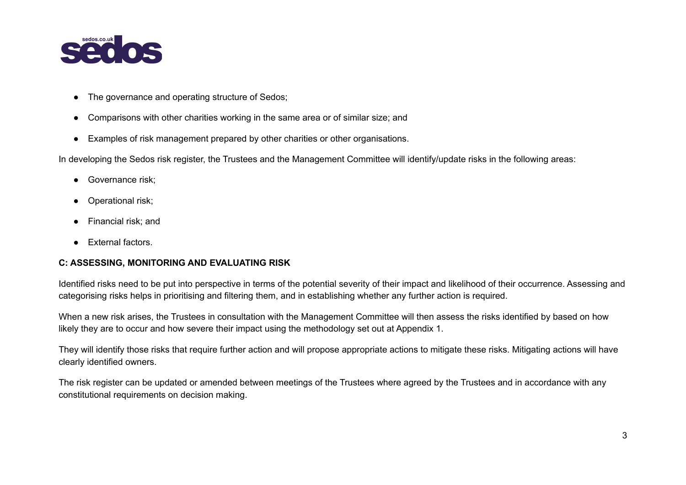

- The governance and operating structure of Sedos;
- Comparisons with other charities working in the same area or of similar size; and
- Examples of risk management prepared by other charities or other organisations.

In developing the Sedos risk register, the Trustees and the Management Committee will identify/update risks in the following areas:

- Governance risk:
- Operational risk;
- Financial risk; and
- External factors.

#### **C: ASSESSING, MONITORING AND EVALUATING RISK**

Identified risks need to be put into perspective in terms of the potential severity of their impact and likelihood of their occurrence. Assessing and categorising risks helps in prioritising and filtering them, and in establishing whether any further action is required.

When a new risk arises, the Trustees in consultation with the Management Committee will then assess the risks identified by based on how likely they are to occur and how severe their impact using the methodology set out at Appendix 1.

They will identify those risks that require further action and will propose appropriate actions to mitigate these risks. Mitigating actions will have clearly identified owners.

The risk register can be updated or amended between meetings of the Trustees where agreed by the Trustees and in accordance with any constitutional requirements on decision making.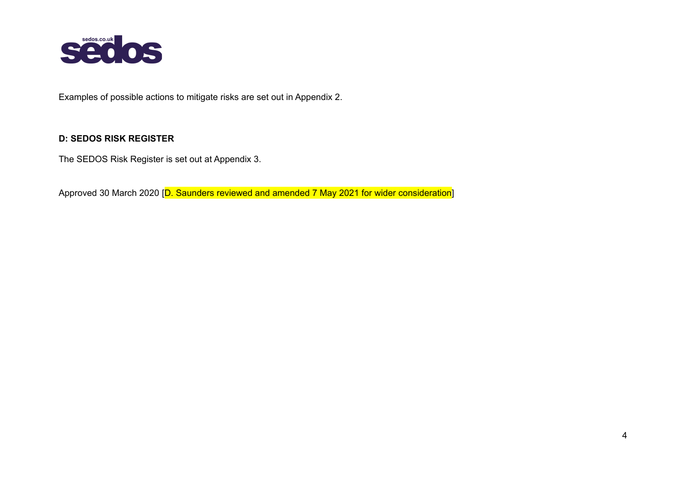

Examples of possible actions to mitigate risks are set out in Appendix 2.

## **D: SEDOS RISK REGISTER**

The SEDOS Risk Register is set out at Appendix 3.

Approved 30 March 2020 [D. Saunders reviewed and amended 7 May 2021 for wider consideration]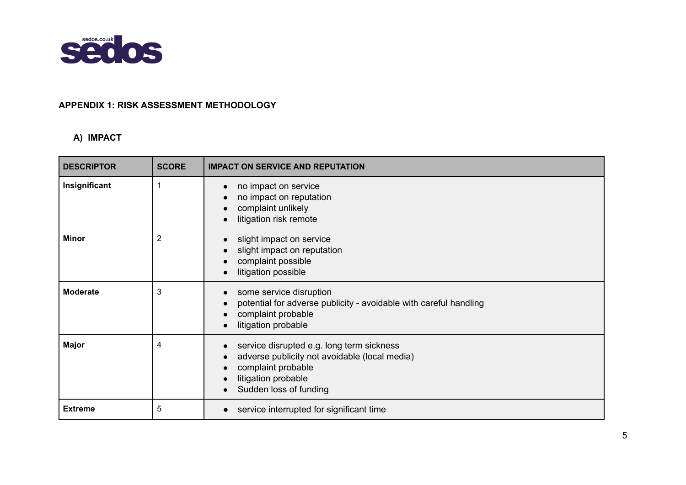

## **APPENDIX 1: RISK ASSESSMENT METHODOLOGY**

## **A) IMPACT**

| <b>DESCRIPTOR</b> | <b>SCORE</b>   | <b>IMPACT ON SERVICE AND REPUTATION</b>                                                                                                                           |
|-------------------|----------------|-------------------------------------------------------------------------------------------------------------------------------------------------------------------|
| Insignificant     | 1              | no impact on service<br>no impact on reputation<br>complaint unlikely<br>litigation risk remote                                                                   |
| <b>Minor</b>      | $\overline{2}$ | slight impact on service<br>slight impact on reputation<br>complaint possible<br>litigation possible                                                              |
| <b>Moderate</b>   | 3              | some service disruption<br>potential for adverse publicity - avoidable with careful handling<br>complaint probable<br>litigation probable                         |
| <b>Major</b>      | 4              | service disrupted e.g. long term sickness<br>adverse publicity not avoidable (local media)<br>complaint probable<br>litigation probable<br>Sudden loss of funding |
| <b>Extreme</b>    | 5              | service interrupted for significant time                                                                                                                          |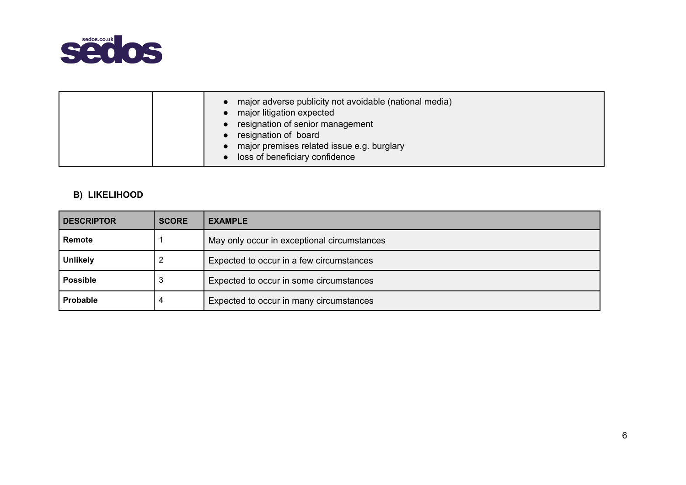

|--|

# **B) LIKELIHOOD**

| <b>DESCRIPTOR</b> | <b>SCORE</b> | <b>EXAMPLE</b>                              |
|-------------------|--------------|---------------------------------------------|
| Remote            |              | May only occur in exceptional circumstances |
| <b>Unlikely</b>   |              | Expected to occur in a few circumstances    |
| <b>Possible</b>   | 3            | Expected to occur in some circumstances     |
| Probable          |              | Expected to occur in many circumstances     |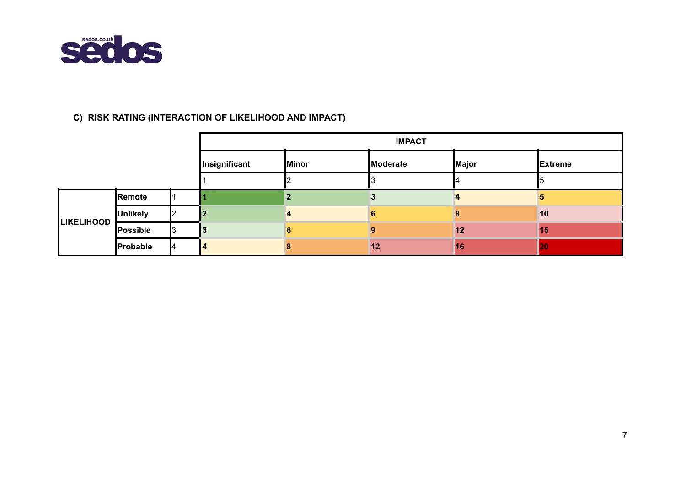

# **C) RISK RATING (INTERACTION OF LIKELIHOOD AND IMPACT)**

|                   |                 |               | <b>IMPACT</b> |          |           |                |  |  |  |
|-------------------|-----------------|---------------|---------------|----------|-----------|----------------|--|--|--|
|                   |                 | Insignificant | <b>Minor</b>  | Moderate | Major     | <b>Extreme</b> |  |  |  |
|                   |                 |               |               |          |           |                |  |  |  |
|                   | Remote          |               |               |          |           |                |  |  |  |
| <b>LIKELIHOOD</b> | <b>Unlikely</b> |               | 4             |          |           | 10             |  |  |  |
|                   | Possible        |               |               |          | $12 \,$   | <b>15</b>      |  |  |  |
|                   | Probable        |               |               | 12       | <b>16</b> | 20             |  |  |  |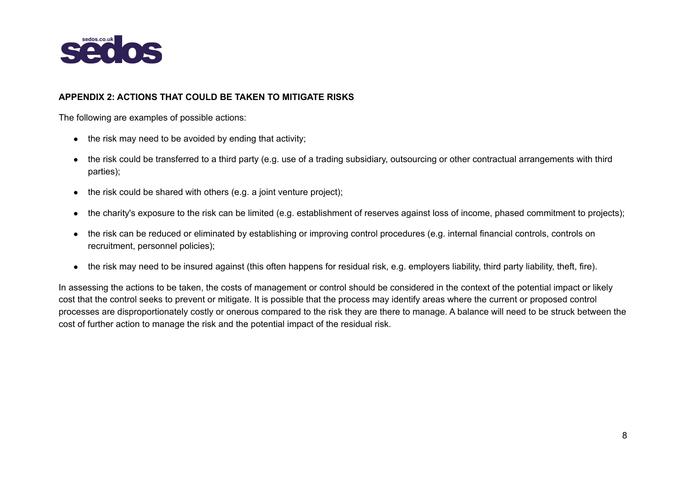

#### **APPENDIX 2: ACTIONS THAT COULD BE TAKEN TO MITIGATE RISKS**

The following are examples of possible actions:

- $\bullet$  the risk may need to be avoided by ending that activity;
- the risk could be transferred to a third party (e.g. use of a trading subsidiary, outsourcing or other contractual arrangements with third parties);
- $\bullet$  the risk could be shared with others (e.g. a joint venture project);
- the charity's exposure to the risk can be limited (e.g. establishment of reserves against loss of income, phased commitment to projects);
- the risk can be reduced or eliminated by establishing or improving control procedures (e.g. internal financial controls, controls on recruitment, personnel policies);
- the risk may need to be insured against (this often happens for residual risk, e.g. employers liability, third party liability, theft, fire).

In assessing the actions to be taken, the costs of management or control should be considered in the context of the potential impact or likely cost that the control seeks to prevent or mitigate. It is possible that the process may identify areas where the current or proposed control processes are disproportionately costly or onerous compared to the risk they are there to manage. A balance will need to be struck between the cost of further action to manage the risk and the potential impact of the residual risk.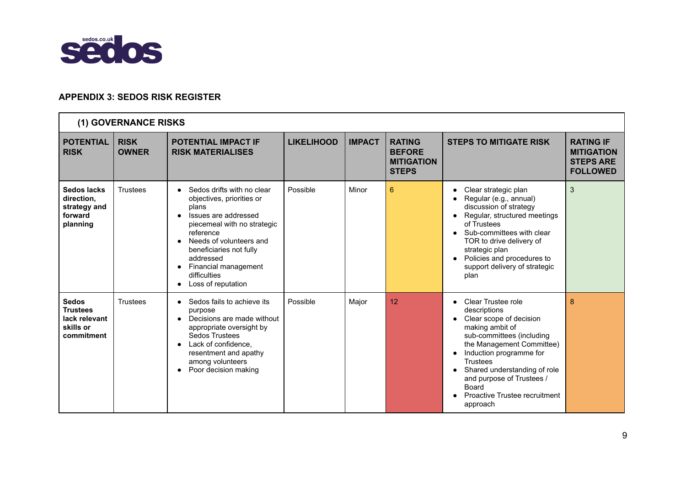

## **APPENDIX 3: SEDOS RISK REGISTER**

|                                                                             | (1) GOVERNANCE RISKS        |                                                                                                                                                                                                                                                                                                 |                   |               |                                                                     |                                                                                                                                                                                                                                                                                                                                       |                                                                              |
|-----------------------------------------------------------------------------|-----------------------------|-------------------------------------------------------------------------------------------------------------------------------------------------------------------------------------------------------------------------------------------------------------------------------------------------|-------------------|---------------|---------------------------------------------------------------------|---------------------------------------------------------------------------------------------------------------------------------------------------------------------------------------------------------------------------------------------------------------------------------------------------------------------------------------|------------------------------------------------------------------------------|
| <b>POTENTIAL</b><br><b>RISK</b>                                             | <b>RISK</b><br><b>OWNER</b> | <b>POTENTIAL IMPACT IF</b><br><b>RISK MATERIALISES</b>                                                                                                                                                                                                                                          | <b>LIKELIHOOD</b> | <b>IMPACT</b> | <b>RATING</b><br><b>BEFORE</b><br><b>MITIGATION</b><br><b>STEPS</b> | <b>STEPS TO MITIGATE RISK</b>                                                                                                                                                                                                                                                                                                         | <b>RATING IF</b><br><b>MITIGATION</b><br><b>STEPS ARE</b><br><b>FOLLOWED</b> |
| Sedos lacks<br>direction,<br>strategy and<br>forward<br>planning            | <b>Trustees</b>             | Sedos drifts with no clear<br>objectives, priorities or<br>plans<br>Issues are addressed<br>$\bullet$<br>piecemeal with no strategic<br>reference<br>Needs of volunteers and<br>beneficiaries not fully<br>addressed<br>Financial management<br>$\bullet$<br>difficulties<br>Loss of reputation | Possible          | Minor         | 6                                                                   | Clear strategic plan<br>$\bullet$<br>Regular (e.g., annual)<br>discussion of strategy<br>Regular, structured meetings<br>of Trustees<br>Sub-committees with clear<br>TOR to drive delivery of<br>strategic plan<br>Policies and procedures to<br>support delivery of strategic<br>plan                                                | 3                                                                            |
| <b>Sedos</b><br><b>Trustees</b><br>lack relevant<br>skills or<br>commitment | <b>Trustees</b>             | Sedos fails to achieve its<br>purpose<br>Decisions are made without<br>$\bullet$<br>appropriate oversight by<br><b>Sedos Trustees</b><br>Lack of confidence,<br>resentment and apathy<br>among volunteers<br>Poor decision making                                                               | Possible          | Major         | 12                                                                  | Clear Trustee role<br>$\bullet$<br>descriptions<br>Clear scope of decision<br>making ambit of<br>sub-committees (including<br>the Management Committee)<br>Induction programme for<br>$\bullet$<br><b>Trustees</b><br>Shared understanding of role<br>and purpose of Trustees /<br>Board<br>Proactive Trustee recruitment<br>approach | 8                                                                            |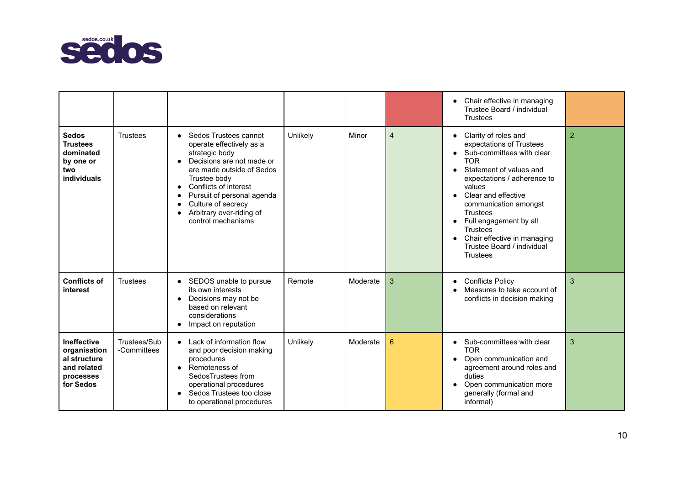

|                                                                                      |                             |                                                                                                                                                                                                                                                                                                                     |          |          |                | Chair effective in managing<br>$\bullet$<br>Trustee Board / individual<br><b>Trustees</b>                                                                                                                                                                                                                                                                                       |                |
|--------------------------------------------------------------------------------------|-----------------------------|---------------------------------------------------------------------------------------------------------------------------------------------------------------------------------------------------------------------------------------------------------------------------------------------------------------------|----------|----------|----------------|---------------------------------------------------------------------------------------------------------------------------------------------------------------------------------------------------------------------------------------------------------------------------------------------------------------------------------------------------------------------------------|----------------|
| <b>Sedos</b><br><b>Trustees</b><br>dominated<br>by one or<br>two<br>individuals      | Trustees                    | Sedos Trustees cannot<br>$\bullet$<br>operate effectively as a<br>strategic body<br>Decisions are not made or<br>are made outside of Sedos<br>Trustee body<br>Conflicts of interest<br>$\bullet$<br>Pursuit of personal agenda<br>Culture of secrecy<br>Arbitrary over-riding of<br>$\bullet$<br>control mechanisms | Unlikely | Minor    | $\overline{4}$ | • Clarity of roles and<br>expectations of Trustees<br>• Sub-committees with clear<br><b>TOR</b><br>Statement of values and<br>expectations / adherence to<br>values<br>Clear and effective<br>$\bullet$<br>communication amongst<br>Trustees<br>Full engagement by all<br><b>Trustees</b><br>Chair effective in managing<br>$\bullet$<br>Trustee Board / individual<br>Trustees | $\overline{2}$ |
| <b>Conflicts of</b><br>interest                                                      | <b>Trustees</b>             | SEDOS unable to pursue<br>$\bullet$<br>its own interests<br>Decisions may not be<br>$\bullet$<br>based on relevant<br>considerations<br>Impact on reputation                                                                                                                                                        | Remote   | Moderate | 3              | <b>Conflicts Policy</b><br>$\bullet$<br>Measures to take account of<br>conflicts in decision making                                                                                                                                                                                                                                                                             | 3              |
| Ineffective<br>organisation<br>al structure<br>and related<br>processes<br>for Sedos | Trustees/Sub<br>-Committees | Lack of information flow<br>$\bullet$<br>and poor decision making<br>procedures<br>• Remoteness of<br>SedosTrustees from<br>operational procedures<br>Sedos Trustees too close<br>to operational procedures                                                                                                         | Unlikely | Moderate | 6              | • Sub-committees with clear<br><b>TOR</b><br>Open communication and<br>agreement around roles and<br>duties<br>Open communication more<br>generally (formal and<br>informal)                                                                                                                                                                                                    | 3              |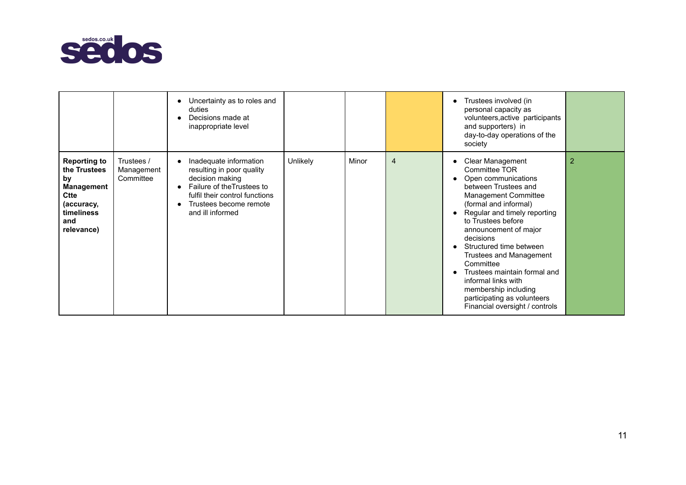

|                                                                                                                         |                                       | Uncertainty as to roles and<br>duties<br>Decisions made at<br>inappropriate level                                                                                                    |          |       |                | Trustees involved (in<br>$\bullet$<br>personal capacity as<br>volunteers, active participants<br>and supporters) in<br>day-to-day operations of the<br>society                                                                                                                                                                                                                                                                                                                    |   |
|-------------------------------------------------------------------------------------------------------------------------|---------------------------------------|--------------------------------------------------------------------------------------------------------------------------------------------------------------------------------------|----------|-------|----------------|-----------------------------------------------------------------------------------------------------------------------------------------------------------------------------------------------------------------------------------------------------------------------------------------------------------------------------------------------------------------------------------------------------------------------------------------------------------------------------------|---|
| <b>Reporting to</b><br>the Trustees<br>by<br>Management<br><b>Ctte</b><br>(accuracy,<br>timeliness<br>and<br>relevance) | Trustees /<br>Management<br>Committee | Inadequate information<br>resulting in poor quality<br>decision making<br>Failure of the Trustees to<br>fulfil their control functions<br>Trustees become remote<br>and ill informed | Unlikely | Minor | $\overline{4}$ | <b>Clear Management</b><br>Committee TOR<br>Open communications<br>$\bullet$<br>between Trustees and<br>Management Committee<br>(formal and informal)<br>Regular and timely reporting<br>to Trustees before<br>announcement of major<br>decisions<br>Structured time between<br>Trustees and Management<br>Committee<br>Trustees maintain formal and<br>$\bullet$<br>informal links with<br>membership including<br>participating as volunteers<br>Financial oversight / controls | 2 |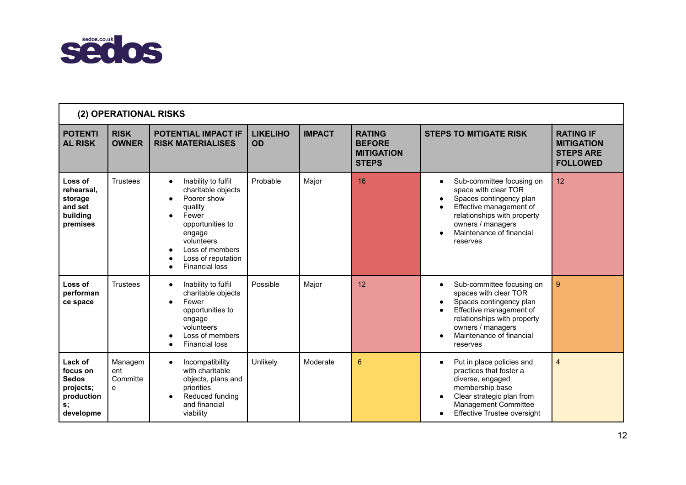

|                                                                                   | (2) OPERATIONAL RISKS           |                                                                                                                                                                                                                                   |                              |               |                                                                     |                                                                                                                                                                                                                   |                                                                              |
|-----------------------------------------------------------------------------------|---------------------------------|-----------------------------------------------------------------------------------------------------------------------------------------------------------------------------------------------------------------------------------|------------------------------|---------------|---------------------------------------------------------------------|-------------------------------------------------------------------------------------------------------------------------------------------------------------------------------------------------------------------|------------------------------------------------------------------------------|
| <b>POTENTI</b><br><b>AL RISK</b>                                                  | <b>RISK</b><br><b>OWNER</b>     | POTENTIAL IMPACT IF<br><b>RISK MATERIALISES</b>                                                                                                                                                                                   | <b>LIKELIHO</b><br><b>OD</b> | <b>IMPACT</b> | <b>RATING</b><br><b>BEFORE</b><br><b>MITIGATION</b><br><b>STEPS</b> | <b>STEPS TO MITIGATE RISK</b>                                                                                                                                                                                     | <b>RATING IF</b><br><b>MITIGATION</b><br><b>STEPS ARE</b><br><b>FOLLOWED</b> |
| Loss of<br>rehearsal.<br>storage<br>and set<br>building<br>premises               | <b>Trustees</b>                 | Inability to fulfil<br>$\bullet$<br>charitable objects<br>Poorer show<br>$\bullet$<br>quality<br>Fewer<br>$\bullet$<br>opportunities to<br>engage<br>volunteers<br>Loss of members<br>Loss of reputation<br><b>Financial loss</b> | Probable                     | Major         | 16                                                                  | Sub-committee focusing on<br>$\bullet$<br>space with clear TOR<br>Spaces contingency plan<br>Effective management of<br>relationships with property<br>owners / managers<br>Maintenance of financial<br>reserves  | 12                                                                           |
| Loss of<br>performan<br>ce space                                                  | Trustees                        | Inability to fulfil<br>$\bullet$<br>charitable objects<br>Fewer<br>$\bullet$<br>opportunities to<br>engage<br>volunteers<br>Loss of members<br><b>Financial loss</b>                                                              | Possible                     | Major         | 12                                                                  | Sub-committee focusing on<br>$\bullet$<br>spaces with clear TOR<br>Spaces contingency plan<br>Effective management of<br>relationships with property<br>owners / managers<br>Maintenance of financial<br>reserves | 9                                                                            |
| Lack of<br>focus on<br><b>Sedos</b><br>projects;<br>production<br>s;<br>developme | Managem<br>ent<br>Committe<br>e | Incompatibility<br>$\bullet$<br>with charitable<br>objects, plans and<br>priorities<br>Reduced funding<br>and financial<br>viability                                                                                              | Unlikely                     | Moderate      | 6                                                                   | Put in place policies and<br>$\bullet$<br>practices that foster a<br>diverse, engaged<br>membership base<br>Clear strategic plan from<br><b>Management Committee</b><br>Effective Trustee oversight               | 4                                                                            |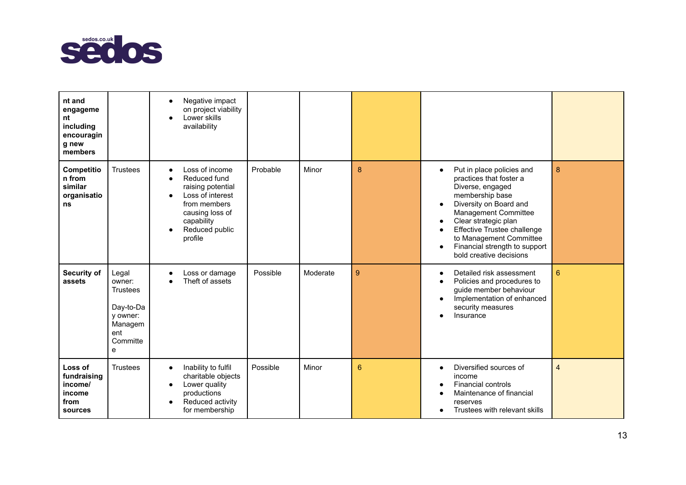

| nt and<br>engageme<br>nt<br>including<br>encouragin<br>g new<br>members |                                                                                                | Negative impact<br>$\bullet$<br>on project viability<br>Lower skills<br>$\bullet$<br>availability                                                                  |          |          |   |                                                                                                                                                                                                                                                                                                                                                      |                |
|-------------------------------------------------------------------------|------------------------------------------------------------------------------------------------|--------------------------------------------------------------------------------------------------------------------------------------------------------------------|----------|----------|---|------------------------------------------------------------------------------------------------------------------------------------------------------------------------------------------------------------------------------------------------------------------------------------------------------------------------------------------------------|----------------|
| Competitio<br>n from<br>similar<br>organisatio<br>ns                    | <b>Trustees</b>                                                                                | Loss of income<br>Reduced fund<br>raising potential<br>Loss of interest<br>$\bullet$<br>from members<br>causing loss of<br>capability<br>Reduced public<br>profile | Probable | Minor    | 8 | Put in place policies and<br>$\bullet$<br>practices that foster a<br>Diverse, engaged<br>membership base<br>Diversity on Board and<br>$\bullet$<br>Management Committee<br>Clear strategic plan<br>٠<br>Effective Trustee challenge<br>$\bullet$<br>to Management Committee<br>Financial strength to support<br>$\bullet$<br>bold creative decisions | 8              |
| Security of<br>assets                                                   | Legal<br>owner:<br><b>Trustees</b><br>Day-to-Da<br>y owner:<br>Managem<br>ent<br>Committe<br>e | Loss or damage<br>Theft of assets                                                                                                                                  | Possible | Moderate | 9 | Detailed risk assessment<br>$\bullet$<br>Policies and procedures to<br>$\bullet$<br>guide member behaviour<br>Implementation of enhanced<br>$\bullet$<br>security measures<br>Insurance                                                                                                                                                              | $6\phantom{1}$ |
| Loss of<br>fundraising<br>income/<br>income<br>from<br>sources          | <b>Trustees</b>                                                                                | Inability to fulfil<br>$\bullet$<br>charitable objects<br>Lower quality<br>$\bullet$<br>productions<br>Reduced activity<br>$\bullet$<br>for membership             | Possible | Minor    | 6 | Diversified sources of<br>$\bullet$<br>income<br><b>Financial controls</b><br>Maintenance of financial<br>reserves<br>Trustees with relevant skills                                                                                                                                                                                                  | 4              |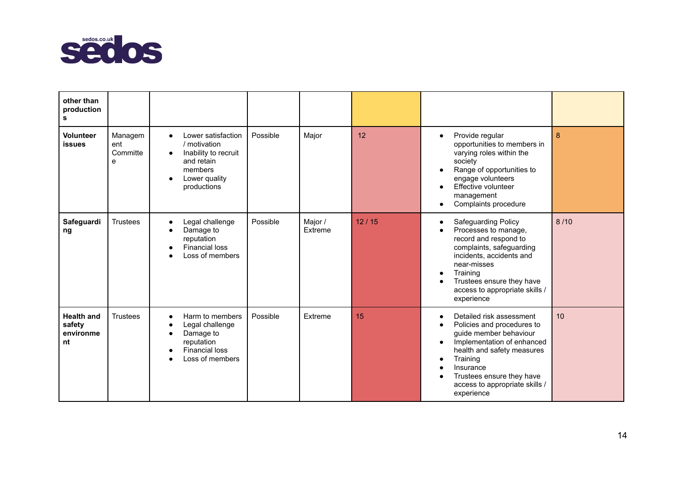

| other than<br>production<br>s                  |                                 |                                                                                                                                                            |          |                    |                  |                                                                                                                                                                                                                                                                              |      |
|------------------------------------------------|---------------------------------|------------------------------------------------------------------------------------------------------------------------------------------------------------|----------|--------------------|------------------|------------------------------------------------------------------------------------------------------------------------------------------------------------------------------------------------------------------------------------------------------------------------------|------|
| <b>Volunteer</b><br><b>issues</b>              | Managem<br>ent<br>Committe<br>e | Lower satisfaction<br>$\bullet$<br>/ motivation<br>Inability to recruit<br>$\bullet$<br>and retain<br>members<br>Lower quality<br>$\bullet$<br>productions | Possible | Major              | 12               | Provide regular<br>$\bullet$<br>opportunities to members in<br>varying roles within the<br>society<br>Range of opportunities to<br>$\bullet$<br>engage volunteers<br>Effective volunteer<br>management<br>Complaints procedure                                               | 8    |
| Safeguardi<br>ng                               | <b>Trustees</b>                 | Legal challenge<br>$\bullet$<br>Damage to<br>reputation<br><b>Financial loss</b><br>Loss of members                                                        | Possible | Major /<br>Extreme | 12/15            | Safeguarding Policy<br>$\bullet$<br>Processes to manage,<br>record and respond to<br>complaints, safeguarding<br>incidents, accidents and<br>near-misses<br>Training<br>$\bullet$<br>Trustees ensure they have<br>access to appropriate skills /<br>experience               | 8/10 |
| <b>Health and</b><br>safety<br>environme<br>nt | Trustees                        | Harm to members<br>$\bullet$<br>Legal challenge<br>Damage to<br>reputation<br><b>Financial loss</b><br>Loss of members                                     | Possible | Extreme            | 15 <sup>15</sup> | Detailed risk assessment<br>$\bullet$<br>Policies and procedures to<br>guide member behaviour<br>Implementation of enhanced<br>$\bullet$<br>health and safety measures<br>Training<br>Insurance<br>Trustees ensure they have<br>access to appropriate skills /<br>experience | 10   |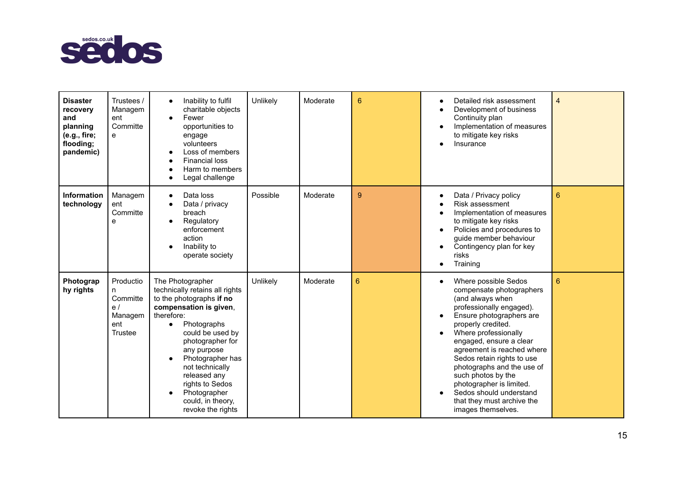

| <b>Disaster</b><br>recovery<br>and<br>planning<br>(e.g., fire;<br>flooding;<br>pandemic) | Trustees /<br>Managem<br>ent<br>Committe<br>e                 | Inability to fulfil<br>$\bullet$<br>charitable objects<br>Fewer<br>$\bullet$<br>opportunities to<br>engage<br>volunteers<br>Loss of members<br><b>Financial loss</b><br>Harm to members<br>Legal challenge                                                                                                                                    | Unlikely | Moderate | 6               | Detailed risk assessment<br>Development of business<br>Continuity plan<br>Implementation of measures<br>to mitigate key risks<br>Insurance                                                                                                                                                                                                                                                                                       | $\overline{4}$ |
|------------------------------------------------------------------------------------------|---------------------------------------------------------------|-----------------------------------------------------------------------------------------------------------------------------------------------------------------------------------------------------------------------------------------------------------------------------------------------------------------------------------------------|----------|----------|-----------------|----------------------------------------------------------------------------------------------------------------------------------------------------------------------------------------------------------------------------------------------------------------------------------------------------------------------------------------------------------------------------------------------------------------------------------|----------------|
| Information<br>technology                                                                | Managem<br>ent<br>Committe<br>е                               | Data loss<br>$\bullet$<br>Data / privacy<br>breach<br>Regulatory<br>enforcement<br>action<br>Inability to<br>operate society                                                                                                                                                                                                                  | Possible | Moderate | 9               | Data / Privacy policy<br>$\bullet$<br>Risk assessment<br>Implementation of measures<br>to mitigate key risks<br>Policies and procedures to<br>$\bullet$<br>guide member behaviour<br>Contingency plan for key<br>risks<br>Training<br>$\bullet$                                                                                                                                                                                  | 6              |
| Photograp<br>hy rights                                                                   | Productio<br>n<br>Committe<br>e/<br>Managem<br>ent<br>Trustee | The Photographer<br>technically retains all rights<br>to the photographs if no<br>compensation is given,<br>therefore:<br>Photographs<br>$\bullet$<br>could be used by<br>photographer for<br>any purpose<br>Photographer has<br>not technically<br>released any<br>rights to Sedos<br>Photographer<br>could, in theory,<br>revoke the rights | Unlikely | Moderate | $6\phantom{1}6$ | Where possible Sedos<br>compensate photographers<br>(and always when<br>professionally engaged).<br>Ensure photographers are<br>properly credited.<br>Where professionally<br>engaged, ensure a clear<br>agreement is reached where<br>Sedos retain rights to use<br>photographs and the use of<br>such photos by the<br>photographer is limited.<br>Sedos should understand<br>that they must archive the<br>images themselves. | $6\phantom{a}$ |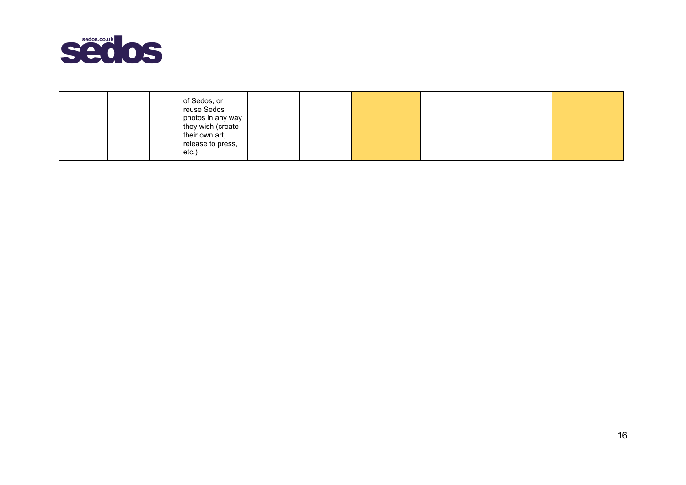

| of Sedos, or<br>reuse Sedos<br>photos in any way I<br>they wish (create<br>their own art,<br>release to press,<br>etc.) |  |  |  |  |
|-------------------------------------------------------------------------------------------------------------------------|--|--|--|--|
|-------------------------------------------------------------------------------------------------------------------------|--|--|--|--|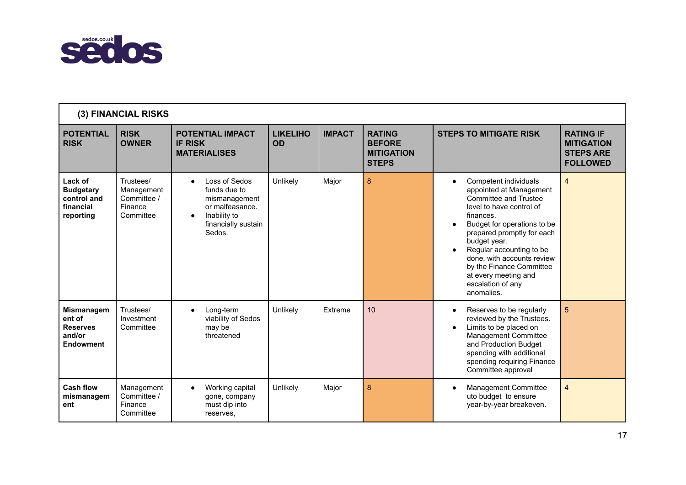

| (3) FINANCIAL RISKS                                                   |                                                                |                                                                                                                                 |                              |               |                                                                     |                                                                                                                                                                                                                                                                                                                                                               |                                                                              |  |  |
|-----------------------------------------------------------------------|----------------------------------------------------------------|---------------------------------------------------------------------------------------------------------------------------------|------------------------------|---------------|---------------------------------------------------------------------|---------------------------------------------------------------------------------------------------------------------------------------------------------------------------------------------------------------------------------------------------------------------------------------------------------------------------------------------------------------|------------------------------------------------------------------------------|--|--|
| <b>POTENTIAL</b><br><b>RISK</b>                                       | <b>RISK</b><br><b>OWNER</b>                                    | <b>POTENTIAL IMPACT</b><br><b>IF RISK</b><br><b>MATERIALISES</b>                                                                | <b>LIKELIHO</b><br><b>OD</b> | <b>IMPACT</b> | <b>RATING</b><br><b>BEFORE</b><br><b>MITIGATION</b><br><b>STEPS</b> | <b>STEPS TO MITIGATE RISK</b>                                                                                                                                                                                                                                                                                                                                 | <b>RATING IF</b><br><b>MITIGATION</b><br><b>STEPS ARE</b><br><b>FOLLOWED</b> |  |  |
| Lack of<br><b>Budgetary</b><br>control and<br>financial<br>reporting  | Trustees/<br>Management<br>Committee /<br>Finance<br>Committee | Loss of Sedos<br>funds due to<br>mismanagement<br>or malfeasance.<br>Inability to<br>$\bullet$<br>financially sustain<br>Sedos. | Unlikely                     | Major         | 8                                                                   | Competent individuals<br>$\bullet$<br>appointed at Management<br>Committee and Trustee<br>level to have control of<br>finances.<br>Budget for operations to be<br>prepared promptly for each<br>budget year.<br>Regular accounting to be<br>done, with accounts review<br>by the Finance Committee<br>at every meeting and<br>escalation of any<br>anomalies. | $\overline{4}$                                                               |  |  |
| <b>Mismanagem</b><br>ent of<br><b>Reserves</b><br>and/or<br>Endowment | Trustees/<br>Investment<br>Committee                           | Long-term<br>viability of Sedos<br>may be<br>threatened                                                                         | Unlikely                     | Extreme       | 10                                                                  | Reserves to be regularly<br>$\bullet$<br>reviewed by the Trustees.<br>Limits to be placed on<br>Management Committee<br>and Production Budget<br>spending with additional<br>spending requiring Finance<br>Committee approval                                                                                                                                 | 5                                                                            |  |  |
| <b>Cash flow</b><br>mismanagem<br>ent                                 | Management<br>Committee /<br>Finance<br>Committee              | Working capital<br>gone, company<br>must dip into<br>reserves.                                                                  | Unlikely                     | Major         | 8                                                                   | <b>Management Committee</b><br>uto budget to ensure<br>year-by-year breakeven.                                                                                                                                                                                                                                                                                | $\overline{4}$                                                               |  |  |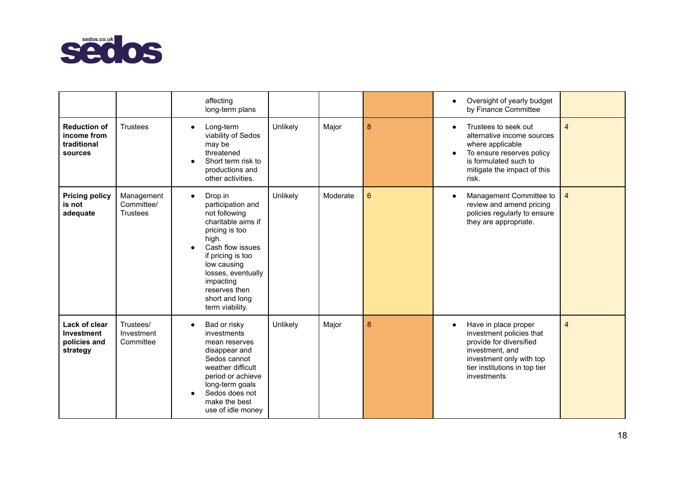

|                                                              |                                             | affecting<br>long-term plans                                                                                                                                                                                                                                 |          |          |   | Oversight of yearly budget<br>by Finance Committee                                                                                                                         |                |
|--------------------------------------------------------------|---------------------------------------------|--------------------------------------------------------------------------------------------------------------------------------------------------------------------------------------------------------------------------------------------------------------|----------|----------|---|----------------------------------------------------------------------------------------------------------------------------------------------------------------------------|----------------|
| <b>Reduction of</b><br>income from<br>traditional<br>sources | <b>Trustees</b>                             | Long-term<br>viability of Sedos<br>may be<br>threatened<br>Short term risk to<br>$\bullet$<br>productions and<br>other activities.                                                                                                                           | Unlikely | Major    | 8 | Trustees to seek out<br>alternative income sources<br>where applicable<br>To ensure reserves policy<br>is formulated such to<br>mitigate the impact of this<br>risk.       | $\overline{4}$ |
| <b>Pricing policy</b><br>is not<br>adequate                  | Management<br>Committee/<br><b>Trustees</b> | Drop in<br>$\bullet$<br>participation and<br>not following<br>charitable aims if<br>pricing is too<br>high.<br>Cash flow issues<br>if pricing is too<br>low causing<br>losses, eventually<br>impacting<br>reserves then<br>short and long<br>term viability. | Unlikely | Moderate | 6 | Management Committee to<br>review and amend pricing<br>policies regularly to ensure<br>they are appropriate.                                                               | $\overline{4}$ |
| Lack of clear<br>Investment<br>policies and<br>strategy      | Trustees/<br>Investment<br>Committee        | Bad or risky<br>investments<br>mean reserves<br>disappear and<br>Sedos cannot<br>weather difficult<br>period or achieve<br>long-term goals<br>Sedos does not<br>make the best<br>use of idle money                                                           | Unlikely | Major    | 8 | Have in place proper<br>investment policies that<br>provide for diversified<br>investment, and<br>investment only with top<br>tier institutions in top tier<br>investments | $\overline{4}$ |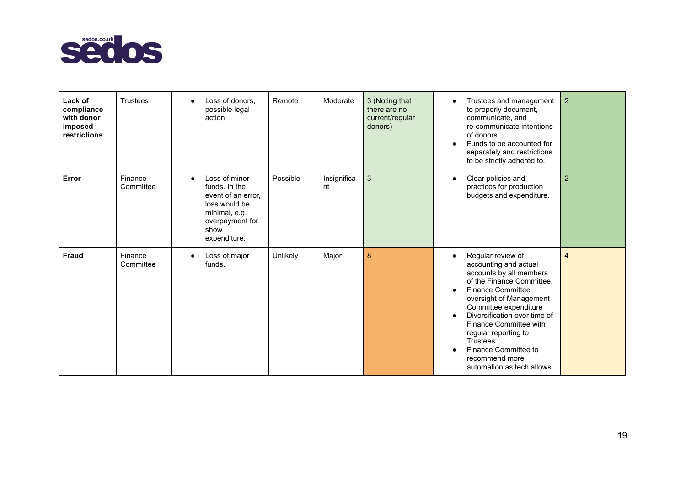

| Lack of<br>compliance<br>with donor<br>imposed<br>restrictions | <b>Trustees</b>      | action               | Loss of donors,<br>possible legal                                                                         | Remote   | Moderate          | 3 (Noting that<br>there are no<br>current/regular<br>donors) | $\bullet$                                        | Trustees and management<br>to properly document,<br>communicate, and<br>re-communicate intentions<br>of donors.<br>Funds to be accounted for<br>separately and restrictions<br>to be strictly adhered to.                                                                                                                                                       | $\overline{2}$ |
|----------------------------------------------------------------|----------------------|----------------------|-----------------------------------------------------------------------------------------------------------|----------|-------------------|--------------------------------------------------------------|--------------------------------------------------|-----------------------------------------------------------------------------------------------------------------------------------------------------------------------------------------------------------------------------------------------------------------------------------------------------------------------------------------------------------------|----------------|
| Error                                                          | Finance<br>Committee | show<br>expenditure. | Loss of minor<br>funds. In the<br>event of an error,<br>loss would be<br>minimal, e.g.<br>overpayment for | Possible | Insignifica<br>nt | 3                                                            | $\bullet$                                        | Clear policies and<br>practices for production<br>budgets and expenditure.                                                                                                                                                                                                                                                                                      | $\overline{2}$ |
| <b>Fraud</b>                                                   | Finance<br>Committee | funds.               | Loss of major                                                                                             | Unlikely | Major             | 8                                                            | $\bullet$<br>$\bullet$<br>$\bullet$<br>$\bullet$ | Regular review of<br>accounting and actual<br>accounts by all members<br>of the Finance Committee.<br><b>Finance Committee</b><br>oversight of Management<br>Committee expenditure<br>Diversification over time of<br>Finance Committee with<br>regular reporting to<br><b>Trustees</b><br>Finance Committee to<br>recommend more<br>automation as tech allows. | $\overline{4}$ |